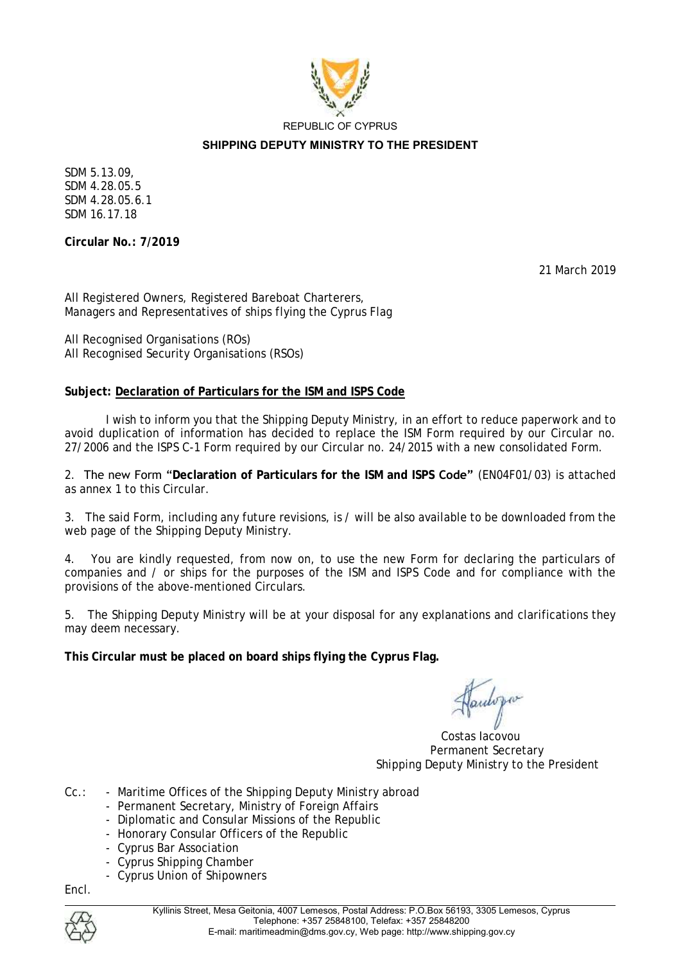

REPUBLIC OF CYPRUS

#### **SHIPPING DEPUTY MINISTRY TO THE PRESIDENT**

SDM 5.13.09, SDM 4.28.05.5 SDM 4.28.05.6.1 SDM 16.17.18

**Circular No.: 7/2019** 

21 March 2019

All Registered Owners, Registered Bareboat Charterers, Managers and Representatives of ships flying the Cyprus Flag

All Recognised Organisations (ROs) All Recognised Security Organisations (RSOs)

# **Subject: Declaration of Particulars for the ISM and ISPS Code**

I wish to inform you that the Shipping Deputy Ministry, in an effort to reduce paperwork and to avoid duplication of information has decided to replace the ISM Form required by our Circular no. 27/2006 and the ISPS C-1 Form required by our Circular no. 24/2015 with a new consolidated Form.

2. The new Form "**Declaration of Particulars for the ISM and ISPS Code"** (EN04F01/03) is attached as annex 1 to this Circular.

3. The said Form, including any future revisions, is / will be also available to be downloaded from the web page of the Shipping Deputy Ministry.

4. You are kindly requested, from now on, to use the new Form for declaring the particulars of companies and / or ships for the purposes of the ISM and ISPS Code and for compliance with the provisions of the above-mentioned Circulars.

5. The Shipping Deputy Ministry will be at your disposal for any explanations and clarifications they may deem necessary.

**This Circular must be placed on board ships flying the Cyprus Flag.**

 Costas Iacovou Permanent Secretary Shipping Deputy Ministry to the President

- Cc.: Maritime Offices of the Shipping Deputy Ministry abroad
	- Permanent Secretary, Ministry of Foreign Affairs
	- Diplomatic and Consular Missions of the Republic
	- Honorary Consular Officers of the Republic
	- Cyprus Bar Association
	- Cyprus Shipping Chamber
	- Cyprus Union of Shipowners

Encl.

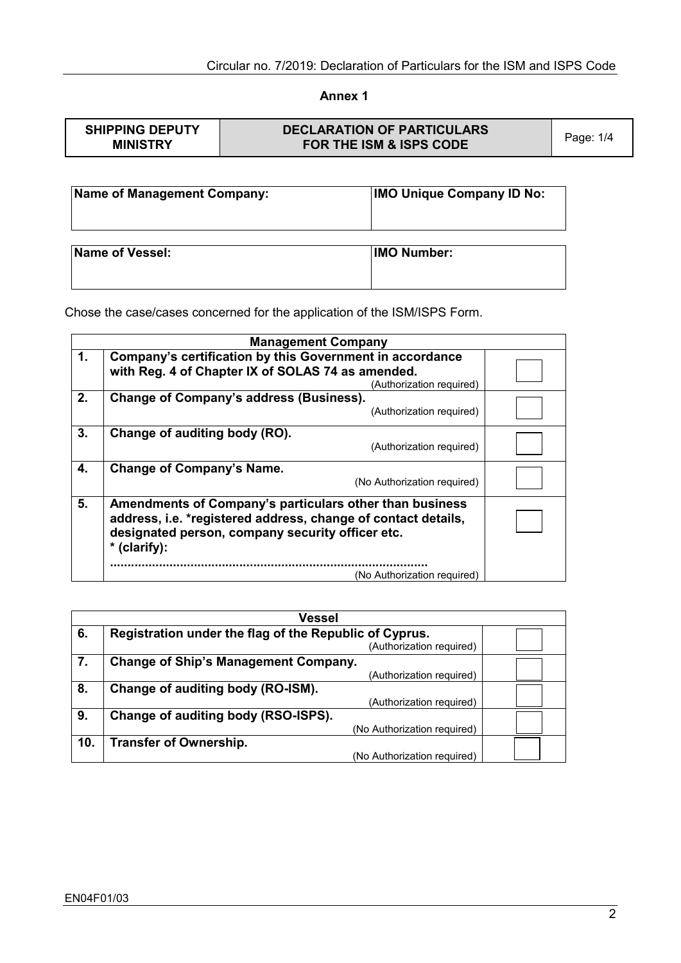# **Annex 1**

| <b>SHIPPING DEPUTY</b> | <b>DECLARATION OF PARTICULARS</b>  |           |
|------------------------|------------------------------------|-----------|
| <b>MINISTRY</b>        | <b>FOR THE ISM &amp; ISPS CODE</b> | Page: 1/4 |

| Name of Management Company: | <b>IMO Unique Company ID No:</b> |
|-----------------------------|----------------------------------|
| Name of Vessel:             | <b>IMO Number:</b>               |

Chose the case/cases concerned for the application of the ISM/ISPS Form.

| <b>Management Company</b>                                                                                                                                                                            |                                                                                                                                           |  |
|------------------------------------------------------------------------------------------------------------------------------------------------------------------------------------------------------|-------------------------------------------------------------------------------------------------------------------------------------------|--|
| 1.                                                                                                                                                                                                   | Company's certification by this Government in accordance<br>with Reg. 4 of Chapter IX of SOLAS 74 as amended.<br>(Authorization required) |  |
| 2.                                                                                                                                                                                                   | Change of Company's address (Business).<br>(Authorization required)                                                                       |  |
| 3.                                                                                                                                                                                                   | Change of auditing body (RO).<br>(Authorization required)                                                                                 |  |
| 4.                                                                                                                                                                                                   | Change of Company's Name.<br>(No Authorization required)                                                                                  |  |
| 5.<br>Amendments of Company's particulars other than business<br>address, i.e. *registered address, change of contact details,<br>designated person, company security officer etc.<br>$*$ (clarify): |                                                                                                                                           |  |
|                                                                                                                                                                                                      | (No Authorization required)                                                                                                               |  |

| <b>Vessel</b>                                                |                                             |  |  |
|--------------------------------------------------------------|---------------------------------------------|--|--|
| Registration under the flag of the Republic of Cyprus.<br>6. |                                             |  |  |
|                                                              | (Authorization required)                    |  |  |
| 7.                                                           | <b>Change of Ship's Management Company.</b> |  |  |
|                                                              | (Authorization required)                    |  |  |
| 8.                                                           | Change of auditing body (RO-ISM).           |  |  |
|                                                              | (Authorization required)                    |  |  |
| 9.                                                           | Change of auditing body (RSO-ISPS).         |  |  |
|                                                              | (No Authorization required)                 |  |  |
| 10.                                                          | <b>Transfer of Ownership.</b>               |  |  |
|                                                              | (No Authorization required)                 |  |  |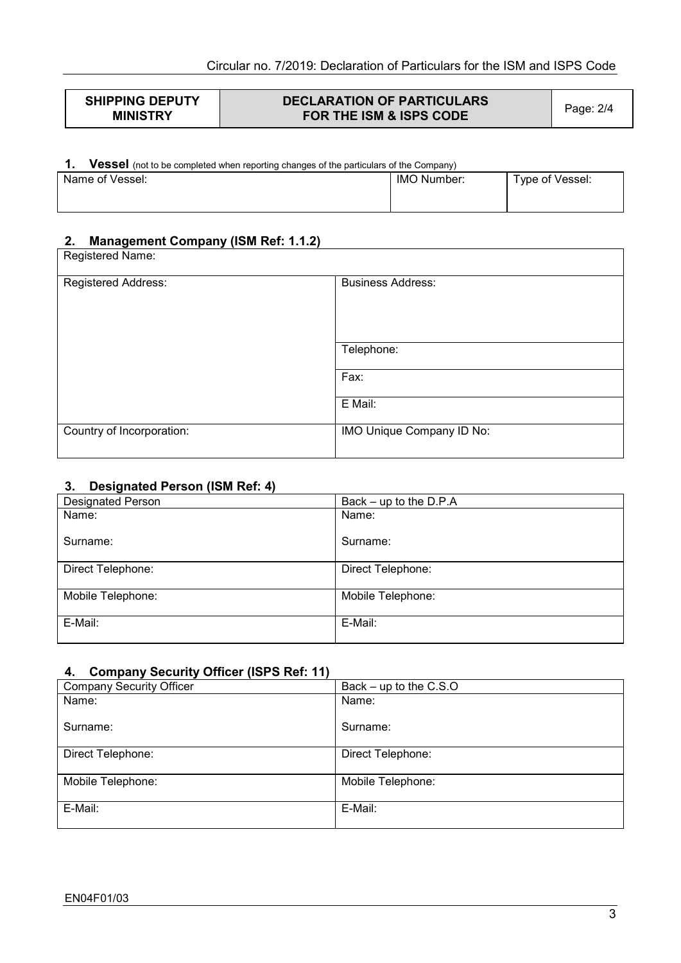| <b>SHIPPING DEPUTY</b><br><b>DECLARATION OF PARTICULARS</b><br>FOR THE ISM & ISPS CODE<br><b>MINISTRY</b> | Page: 2/4 |
|-----------------------------------------------------------------------------------------------------------|-----------|
|-----------------------------------------------------------------------------------------------------------|-----------|

# **1. Vessel** (not to be completed when reporting changes of the particulars of the Company)

| Name of Vessel: | IMO Number: | Type of Vessel: |
|-----------------|-------------|-----------------|
|                 |             |                 |

# **2. Management Company (ISM Ref: 1.1.2)**

| Registered Name:          |                           |
|---------------------------|---------------------------|
| Registered Address:       | <b>Business Address:</b>  |
|                           | Telephone:                |
|                           | Fax:                      |
|                           | E Mail:                   |
| Country of Incorporation: | IMO Unique Company ID No: |

# **3. Designated Person (ISM Ref: 4)**

| <b>Designated Person</b> | Back $-$ up to the D.P.A |
|--------------------------|--------------------------|
| Name:                    | Name:                    |
|                          |                          |
| Surname:                 | Surname:                 |
|                          |                          |
| Direct Telephone:        | Direct Telephone:        |
|                          |                          |
| Mobile Telephone:        | Mobile Telephone:        |
|                          |                          |
| E-Mail:                  | E-Mail:                  |
|                          |                          |

# **4. Company Security Officer (ISPS Ref: 11)**

| $\cdot$ $\cdot$                 |                          |
|---------------------------------|--------------------------|
| <b>Company Security Officer</b> | Back $-$ up to the C.S.O |
| Name:                           | Name:                    |
| Surname:                        | Surname:                 |
| Direct Telephone:               | Direct Telephone:        |
| Mobile Telephone:               | Mobile Telephone:        |
| E-Mail:                         | E-Mail:                  |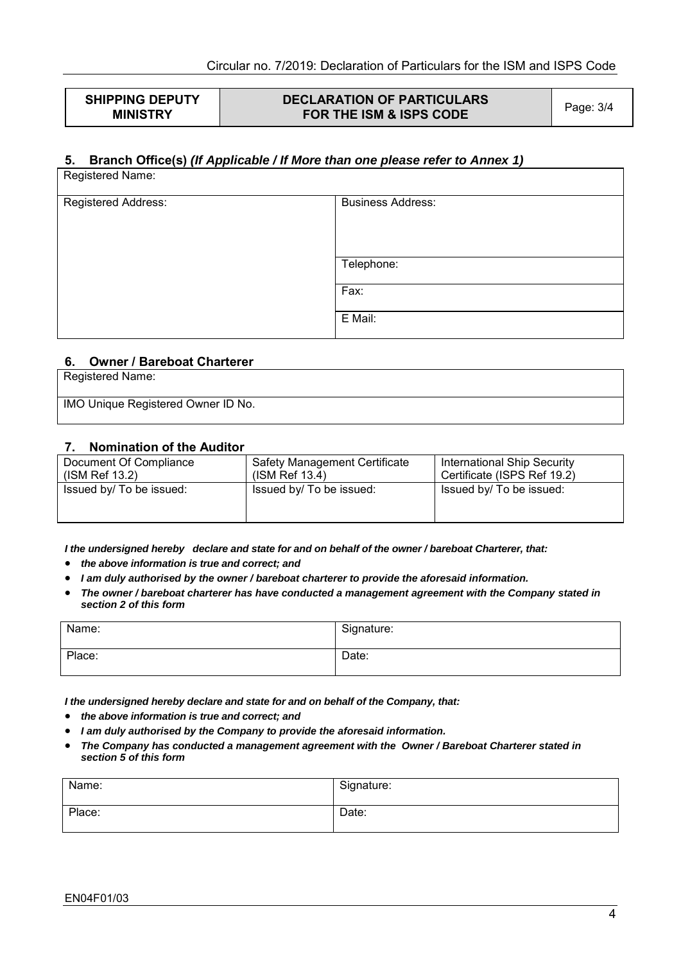**SHIPPING DEPUTY MINISTRY** 

# **DECLARATION OF PARTICULARS FOR THE ISM & ISPS CODE** Page: 3/4

#### **5. Branch Office(s)** *(If Applicable / If More than one please refer to Annex 1)* Registered Name:

| <b>TWYOUTO PROTIC.</b> |                          |
|------------------------|--------------------------|
| Registered Address:    | <b>Business Address:</b> |
|                        |                          |
|                        |                          |
|                        |                          |
|                        | Telephone:               |
|                        | Fax:                     |
|                        |                          |
|                        | E Mail:                  |
|                        |                          |

#### **6. Owner / Bareboat Charterer**

Registered Name:

IMO Unique Registered Owner ID No.

#### **7. Nomination of the Auditor**

| Document Of Compliance<br>(ISM Ref 13.2) | <b>Safety Management Certificate</b><br>$(ISM$ Ref 13.4) | International Ship Security<br>Certificate (ISPS Ref 19.2) |  |
|------------------------------------------|----------------------------------------------------------|------------------------------------------------------------|--|
| Issued by/ To be issued:                 | Issued by/ To be issued:                                 | Issued by/ To be issued:                                   |  |

*I the undersigned hereby declare and state for and on behalf of the owner / bareboat Charterer, that:* 

- *the above information is true and correct; and*
- *I am duly authorised by the owner / bareboat charterer to provide the aforesaid information.*
- *The owner / bareboat charterer has have conducted a management agreement with the Company stated in section 2 of this form*

| Name:  | Signature: |
|--------|------------|
| Place: | Date:      |

*I the undersigned hereby declare and state for and on behalf of the Company, that:* 

- *the above information is true and correct; and*
- *I am duly authorised by the Company to provide the aforesaid information.*
- *The Company has conducted a management agreement with the Owner / Bareboat Charterer stated in section 5 of this form*

| Name:  | Signature: |
|--------|------------|
| Place: | Date:      |